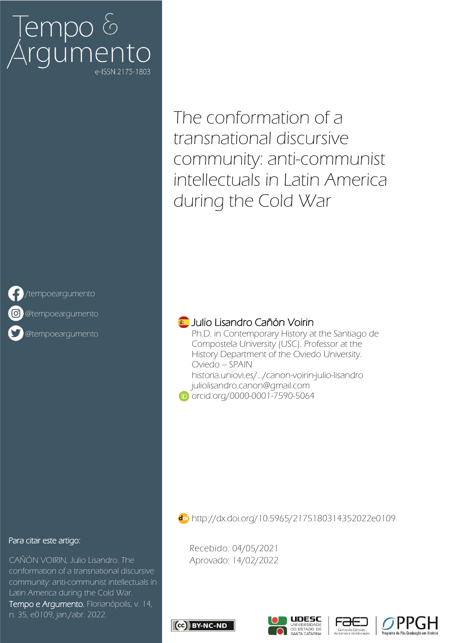# Tempo &<br>\rgumento

The conformation of a transnational discursive community: anti-communist intellectuals in Latin America during the Cold War



[/tempoeargumento](https://www.facebook.com/Revista-Tempo-e-Argumento-385612254786165/)

<sup>o</sup> [@tempoeargumento](https://www.instagram.com/tempoeargumento)

[@tempoeargumento](https://twitter.com/tempoeargumento)

### **Julio Lisandro Cañón Voirin**

Ph.D. in Contemporary History at the Santiago de Compostela University (USC). Professor at the History Department of the Oviedo University. Oviedo – SPAIN [historia.uniovi.es/.../canon-voirin-julio-lisandro](https://historia.uniovi.es/areas/contemporanea/-/asset_publisher/Y2xa/content/canon-voirin-julio-lisandro;jsessionid=AEE626AAE5AAB1AB01F99AFB6447DEFC?redirect=%2Fareas%2Fcontemporanea) [juliolisandro.canon@gmail.com](mailto:juliolisandro.canon@gmail.com)



### <http://dx.doi.org/10.5965/2175180314352022e0109>

Recebido: 04/05/2021 Aprovado: 14/02/2022









#### Para citar este artigo:

CAÑÓN VOIRIN, Julio Lisandro. The conformation of a transnational discursive community: anti-communist intellectuals in Latin America during the Cold War. Tempo e Argumento, Florianópolis, v. 14, n. 35, e0109, jan./abr. 2022.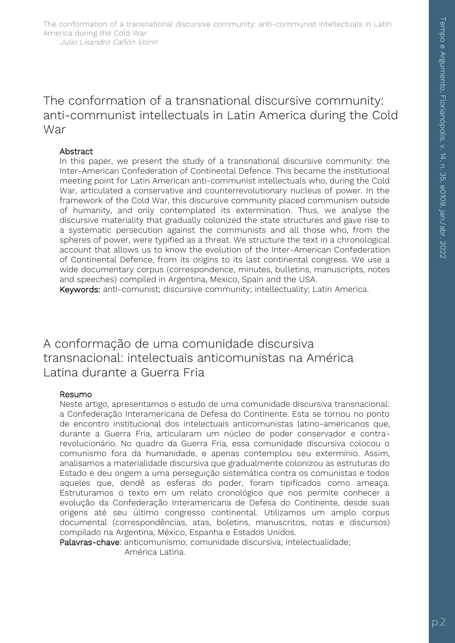The conformation of a transnational discursive community: anti-communist intellectuals in Latin America during the Cold War

#### Abstract

In this paper, we present the study of a transnational discursive community: the Inter-American Confederation of Continental Defence. This became the institutional meeting point for Latin American anti-communist intellectuals who, during the Cold War, articulated a conservative and counterrevolutionary nucleus of power. In the framework of the Cold War, this discursive community placed communism outside of humanity, and only contemplated its extermination. Thus, we analyse the discursive materiality that gradually colonized the state structures and gave rise to a systematic persecution against the communists and all those who, from the spheres of power, were typified as a threat. We structure the text in a chronological account that allows us to know the evolution of the Inter-American Confederation of Continental Defence, from its origins to its last continental congress. We use a wide documentary corpus (correspondence, minutes, bulletins, manuscripts, notes and speeches) compiled in Argentina, Mexico, Spain and the USA.

Keywords: anti-comunist; discursive community; intellectuality; Latin America.

A conformação de uma comunidade discursiva transnacional: intelectuais anticomunistas na América Latina durante a Guerra Fria

#### Resumo

Neste artigo, apresentamos o estudo de uma comunidade discursiva transnacional: a Confederação Interamericana de Defesa do Continente. Esta se tornou no ponto de encontro institucional dos intelectuais anticomunistas latino-americanos que, durante a Guerra Fria, articularam um núcleo de poder conservador e contrarevolucionário. No quadro da Guerra Fria, essa comunidade discursiva colocou o comunismo fora da humanidade, e apenas contemplou seu extermínio. Assim, analisamos a materialidade discursiva que gradualmente colonizou as estruturas do Estado e deu origem a uma perseguição sistemática contra os comunistas e todos aqueles que, dendê as esferas do poder, foram tipificados como ameaça. Estruturamos o texto em um relato cronológico que nos permite conhecer a evolução da Confederação Interamericana de Defesa do Continente, desde suas origens até seu último congresso continental. Utilizamos um amplo corpus documental (correspondências, atas, boletins, manuscritos, notas e discursos) compilado na Argentina, México, Espanha e Estados Unidos.

Palavras-chave: anticomunismo; comunidade discursiva; intelectualidade;

América Latina.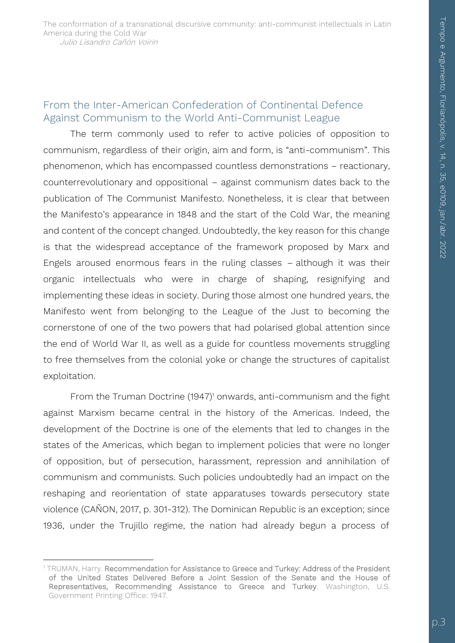## From the Inter-American Confederation of Continental Defence Against Communism to the World Anti-Communist League

The term commonly used to refer to active policies of opposition to communism, regardless of their origin, aim and form, is "anti-communism". This phenomenon, which has encompassed countless demonstrations – reactionary, counterrevolutionary and oppositional – against communism dates back to the publication of The Communist Manifesto. Nonetheless, it is clear that between the Manifesto's appearance in 1848 and the start of the Cold War, the meaning and content of the concept changed. Undoubtedly, the key reason for this change is that the widespread acceptance of the framework proposed by Marx and Engels aroused enormous fears in the ruling classes – although it was their organic intellectuals who were in charge of shaping, resignifying and implementing these ideas in society. During those almost one hundred years, the Manifesto went from belonging to the League of the Just to becoming the cornerstone of one of the two powers that had polarised global attention since the end of World War II, as well as a guide for countless movements struggling to free themselves from the colonial yoke or change the structures of capitalist exploitation.

From the Truman Doctrine (1947)<sup>1</sup> onwards, anti-communism and the fight against Marxism became central in the history of the Americas. Indeed, the development of the Doctrine is one of the elements that led to changes in the states of the Americas, which began to implement policies that were no longer of opposition, but of persecution, harassment, repression and annihilation of communism and communists. Such policies undoubtedly had an impact on the reshaping and reorientation of state apparatuses towards persecutory state violence (CAÑON, 2017, p. 301-312). The Dominican Republic is an exception; since 1936, under the Trujillo regime, the nation had already begun a process of

1

<sup>&</sup>lt;sup>1</sup> TRUMAN, Harry. Recommendation for Assistance to Greece and Turkey: Address of the President of the United States Delivered Before a Joint Session of the Senate and the House of Representatives, Recommending Assistance to Greece and Turkey. Washington, U.S. Government Printing Office: 1947.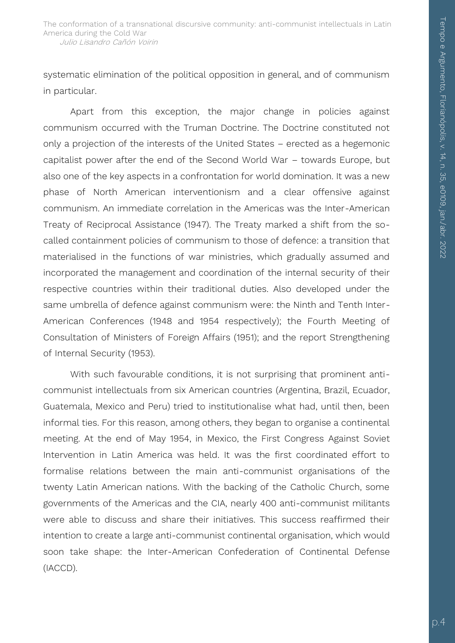systematic elimination of the political opposition in general, and of communism in particular.

Apart from this exception, the major change in policies against communism occurred with the Truman Doctrine. The Doctrine constituted not only a projection of the interests of the United States – erected as a hegemonic capitalist power after the end of the Second World War – towards Europe, but also one of the key aspects in a confrontation for world domination. It was a new phase of North American interventionism and a clear offensive against communism. An immediate correlation in the Americas was the Inter-American Treaty of Reciprocal Assistance (1947). The Treaty marked a shift from the socalled containment policies of communism to those of defence: a transition that materialised in the functions of war ministries, which gradually assumed and incorporated the management and coordination of the internal security of their respective countries within their traditional duties. Also developed under the same umbrella of defence against communism were: the Ninth and Tenth Inter-American Conferences (1948 and 1954 respectively); the Fourth Meeting of Consultation of Ministers of Foreign Affairs (1951); and the report Strengthening of Internal Security (1953).

With such favourable conditions, it is not surprising that prominent anticommunist intellectuals from six American countries (Argentina, Brazil, Ecuador, Guatemala, Mexico and Peru) tried to institutionalise what had, until then, been informal ties. For this reason, among others, they began to organise a continental meeting. At the end of May 1954, in Mexico, the First Congress Against Soviet Intervention in Latin America was held. It was the first coordinated effort to formalise relations between the main anti-communist organisations of the twenty Latin American nations. With the backing of the Catholic Church, some governments of the Americas and the CIA, nearly 400 anti-communist militants were able to discuss and share their initiatives. This success reaffirmed their intention to create a large anti-communist continental organisation, which would soon take shape: the Inter-American Confederation of Continental Defense (IACCD).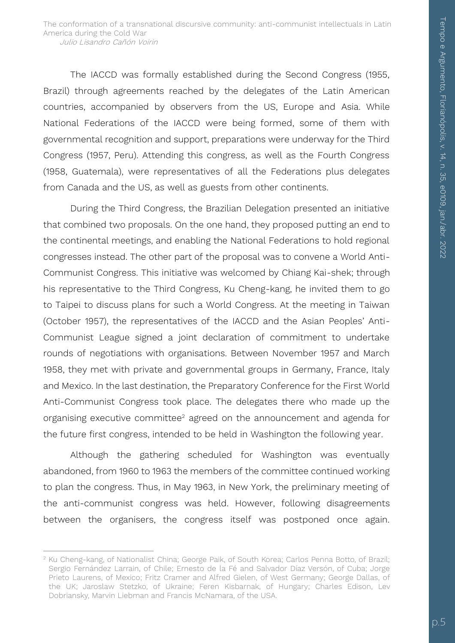The IACCD was formally established during the Second Congress (1955, Brazil) through agreements reached by the delegates of the Latin American countries, accompanied by observers from the US, Europe and Asia. While National Federations of the IACCD were being formed, some of them with governmental recognition and support, preparations were underway for the Third Congress (1957, Peru). Attending this congress, as well as the Fourth Congress (1958, Guatemala), were representatives of all the Federations plus delegates from Canada and the US, as well as guests from other continents.

During the Third Congress, the Brazilian Delegation presented an initiative that combined two proposals. On the one hand, they proposed putting an end to the continental meetings, and enabling the National Federations to hold regional congresses instead. The other part of the proposal was to convene a World Anti-Communist Congress. This initiative was welcomed by Chiang Kai-shek; through his representative to the Third Congress, Ku Cheng-kang, he invited them to go to Taipei to discuss plans for such a World Congress. At the meeting in Taiwan (October 1957), the representatives of the IACCD and the Asian Peoples' Anti-Communist League signed a joint declaration of commitment to undertake rounds of negotiations with organisations. Between November 1957 and March 1958, they met with private and governmental groups in Germany, France, Italy and Mexico. In the last destination, the Preparatory Conference for the First World Anti-Communist Congress took place. The delegates there who made up the organising executive committee<sup>2</sup> agreed on the announcement and agenda for the future first congress, intended to be held in Washington the following year.

Although the gathering scheduled for Washington was eventually abandoned, from 1960 to 1963 the members of the committee continued working to plan the congress. Thus, in May 1963, in New York, the preliminary meeting of the anti-communist congress was held. However, following disagreements between the organisers, the congress itself was postponed once again.

1

<sup>&</sup>lt;sup>2</sup> Ku Cheng-kang, of Nationalist China; George Paik, of South Korea; Carlos Penna Botto, of Brazil; Sergio Fernández Larrain, of Chile; Ernesto de la Fé and Salvador Díaz Versón, of Cuba; Jorge Prieto Laurens, of Mexico; Fritz Cramer and Alfred Gielen, of West Germany; George Dallas, of the UK; Jaroslaw Stetzko, of Ukraine; Feren Kisbarnak, of Hungary; Charles Edison, Lev Dobriansky, Marvin Liebman and Francis McNamara, of the USA.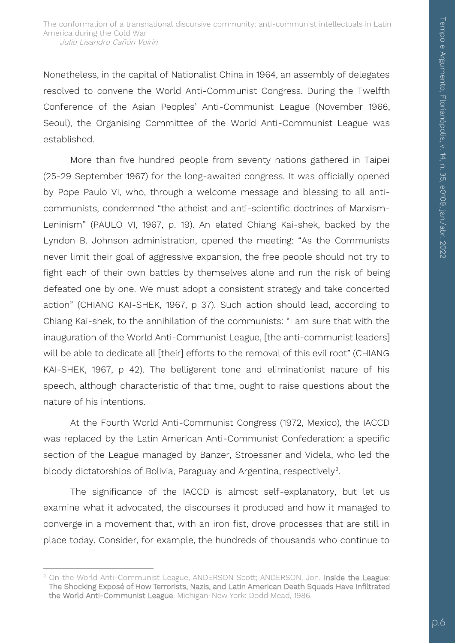Nonetheless, in the capital of Nationalist China in 1964, an assembly of delegates resolved to convene the World Anti-Communist Congress. During the Twelfth Conference of the Asian Peoples' Anti-Communist League (November 1966, Seoul), the Organising Committee of the World Anti-Communist League was established.

More than five hundred people from seventy nations gathered in Taipei (25-29 September 1967) for the long-awaited congress. It was officially opened by Pope Paulo VI, who, through a welcome message and blessing to all anticommunists, condemned "the atheist and anti-scientific doctrines of Marxism-Leninism" (PAULO VI, 1967, p. 19). An elated Chiang Kai-shek, backed by the Lyndon B. Johnson administration, opened the meeting: "As the Communists never limit their goal of aggressive expansion, the free people should not try to fight each of their own battles by themselves alone and run the risk of being defeated one by one. We must adopt a consistent strategy and take concerted action" (CHIANG KAI-SHEK, 1967, p 37). Such action should lead, according to Chiang Kai-shek, to the annihilation of the communists: "I am sure that with the inauguration of the World Anti-Communist League, [the anti-communist leaders] will be able to dedicate all [their] efforts to the removal of this evil root" (CHIANG KAI-SHEK, 1967, p 42). The belligerent tone and eliminationist nature of his speech, although characteristic of that time, ought to raise questions about the nature of his intentions.

At the Fourth World Anti-Communist Congress (1972, Mexico), the IACCD was replaced by the Latin American Anti-Communist Confederation: a specific section of the League managed by Banzer, Stroessner and Videla, who led the bloody dictatorships of Bolivia, Paraguay and Argentina, respectively<sup>3</sup>.

The significance of the IACCD is almost self-explanatory, but let us examine what it advocated, the discourses it produced and how it managed to converge in a movement that, with an iron fist, drove processes that are still in place today. Consider, for example, the hundreds of thousands who continue to

 $\overline{a}$ <sup>3</sup> On the World Anti-Communist League, ANDERSON Scott; ANDERSON, Jon. Inside the League: The Shocking Exposé of How Terrorists, Nazis, and Latin American Death Squads Have Infiltrated the World Anti-Communist League. Michigan-New York: Dodd Mead, 1986.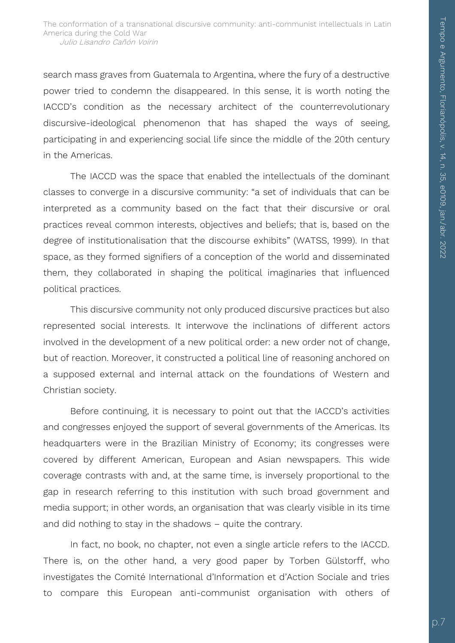search mass graves from Guatemala to Argentina, where the fury of a destructive power tried to condemn the disappeared. In this sense, it is worth noting the IACCD's condition as the necessary architect of the counterrevolutionary discursive-ideological phenomenon that has shaped the ways of seeing, participating in and experiencing social life since the middle of the 20th century in the Americas.

The IACCD was the space that enabled the intellectuals of the dominant classes to converge in a discursive community: "a set of individuals that can be interpreted as a community based on the fact that their discursive or oral practices reveal common interests, objectives and beliefs; that is, based on the degree of institutionalisation that the discourse exhibits" (WATSS, 1999). In that space, as they formed signifiers of a conception of the world and disseminated them, they collaborated in shaping the political imaginaries that influenced political practices.

This discursive community not only produced discursive practices but also represented social interests. It interwove the inclinations of different actors involved in the development of a new political order: a new order not of change, but of reaction. Moreover, it constructed a political line of reasoning anchored on a supposed external and internal attack on the foundations of Western and Christian society.

Before continuing, it is necessary to point out that the IACCD's activities and congresses enjoyed the support of several governments of the Americas. Its headquarters were in the Brazilian Ministry of Economy; its congresses were covered by different American, European and Asian newspapers. This wide coverage contrasts with and, at the same time, is inversely proportional to the gap in research referring to this institution with such broad government and media support; in other words, an organisation that was clearly visible in its time and did nothing to stay in the shadows – quite the contrary.

In fact, no book, no chapter, not even a single article refers to the IACCD. There is, on the other hand, a very good paper by Torben Gülstorff, who investigates the Comité International d'Information et d'Action Sociale and tries to compare this European anti-communist organisation with others of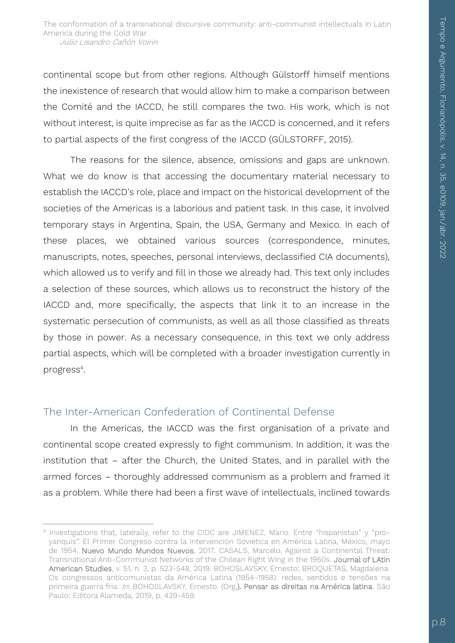continental scope but from other regions. Although Gülstorff himself mentions the inexistence of research that would allow him to make a comparison between the Comité and the IACCD, he still compares the two. His work, which is not without interest, is quite imprecise as far as the IACCD is concerned, and it refers to partial aspects of the first congress of the IACCD (GÜLSTORFF, 2015).

The reasons for the silence, absence, omissions and gaps are unknown. What we do know is that accessing the documentary material necessary to establish the IACCD's role, place and impact on the historical development of the societies of the Americas is a laborious and patient task. In this case, it involved temporary stays in Argentina, Spain, the USA, Germany and Mexico. In each of these places, we obtained various sources (correspondence, minutes, manuscripts, notes, speeches, personal interviews, declassified CIA documents), which allowed us to verify and fill in those we already had. This text only includes a selection of these sources, which allows us to reconstruct the history of the IACCD and, more specifically, the aspects that link it to an increase in the systematic persecution of communists, as well as all those classified as threats by those in power. As a necessary consequence, in this text we only address partial aspects, which will be completed with a broader investigation currently in progress<sup>4</sup>.

## The Inter-American Confederation of Continental Defense

In the Americas, the IACCD was the first organisation of a private and continental scope created expressly to fight communism. In addition, it was the institution that – after the Church, the United States, and in parallel with the armed forces – thoroughly addressed communism as a problem and framed it as a problem. While there had been a first wave of intellectuals, inclined towards

<sup>1</sup> 4 Investigations that, laterally, refer to the CIDC are JIMENEZ, Mario. Entre "hispanistas" y "proyanquis". El Primer Congreso contra la Intervención Soviética en América Latina, México, mayo de 1954. Nuevo Mundo Mundos Nuevos, 2017. CASALS, Marcelo. Against a Continental Threat: Transnational Anti-Communist Networks of the Chilean Right Wing in the 1950s. Journal of LAtin American Studies, v. 51, n. 3, p. 523-548, 2019. BOHOSLAVSKY, Ernesto; BROQUETAS, Magdalena. Os congressos anticomunistas da América Latina (1954-1958): redes, sentidos e tensões na primeira guerra fria. In: BOHOSLAVSKY, Ernesto. (Org.). Pensar as direitas na América latina. São Paulo: Editora Alameda, 2019, p. 439-459.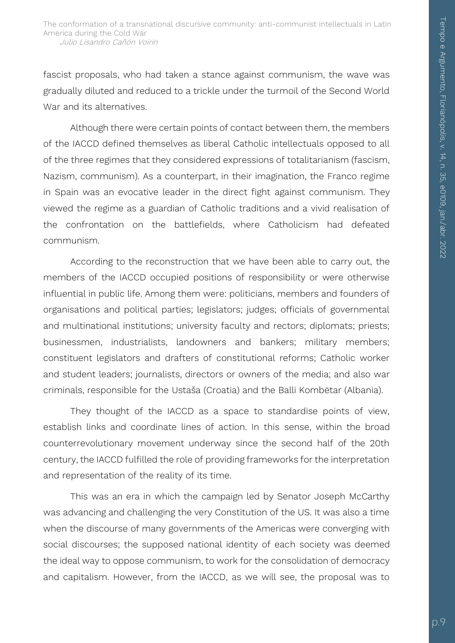fascist proposals, who had taken a stance against communism, the wave was gradually diluted and reduced to a trickle under the turmoil of the Second World War and its alternatives.

Although there were certain points of contact between them, the members of the IACCD defined themselves as liberal Catholic intellectuals opposed to all of the three regimes that they considered expressions of totalitarianism (fascism, Nazism, communism). As a counterpart, in their imagination, the Franco regime in Spain was an evocative leader in the direct fight against communism. They viewed the regime as a guardian of Catholic traditions and a vivid realisation of the confrontation on the battlefields, where Catholicism had defeated communism.

According to the reconstruction that we have been able to carry out, the members of the IACCD occupied positions of responsibility or were otherwise influential in public life. Among them were: politicians, members and founders of organisations and political parties; legislators; judges; officials of governmental and multinational institutions; university faculty and rectors; diplomats; priests; businessmen, industrialists, landowners and bankers; military members; constituent legislators and drafters of constitutional reforms; Catholic worker and student leaders; journalists, directors or owners of the media; and also war criminals, responsible for the Ustaša (Croatia) and the Balli Kombëtar (Albania).

They thought of the IACCD as a space to standardise points of view, establish links and coordinate lines of action. In this sense, within the broad counterrevolutionary movement underway since the second half of the 20th century, the IACCD fulfilled the role of providing frameworks for the interpretation and representation of the reality of its time.

This was an era in which the campaign led by Senator Joseph McCarthy was advancing and challenging the very Constitution of the US. It was also a time when the discourse of many governments of the Americas were converging with social discourses; the supposed national identity of each society was deemed the ideal way to oppose communism, to work for the consolidation of democracy and capitalism. However, from the IACCD, as we will see, the proposal was to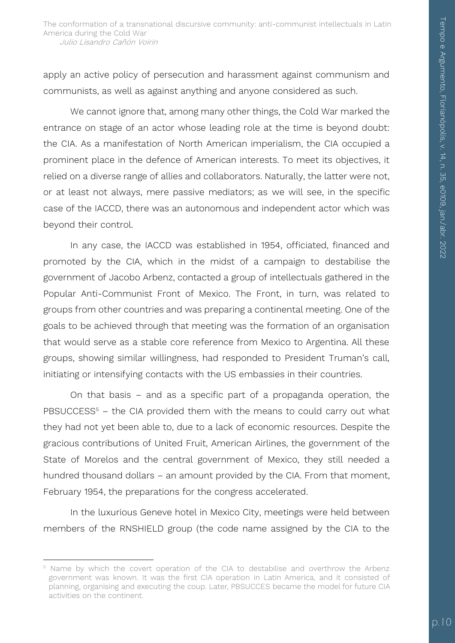apply an active policy of persecution and harassment against communism and communists, as well as against anything and anyone considered as such.

We cannot ignore that, among many other things, the Cold War marked the entrance on stage of an actor whose leading role at the time is beyond doubt: the CIA. As a manifestation of North American imperialism, the CIA occupied a prominent place in the defence of American interests. To meet its objectives, it relied on a diverse range of allies and collaborators. Naturally, the latter were not, or at least not always, mere passive mediators; as we will see, in the specific case of the IACCD, there was an autonomous and independent actor which was beyond their control.

In any case, the IACCD was established in 1954, officiated, financed and promoted by the CIA, which in the midst of a campaign to destabilise the government of Jacobo Arbenz, contacted a group of intellectuals gathered in the Popular Anti-Communist Front of Mexico. The Front, in turn, was related to groups from other countries and was preparing a continental meeting. One of the goals to be achieved through that meeting was the formation of an organisation that would serve as a stable core reference from Mexico to Argentina. All these groups, showing similar willingness, had responded to President Truman's call, initiating or intensifying contacts with the US embassies in their countries.

On that basis – and as a specific part of a propaganda operation, the PBSUCCESS<sup>5</sup> – the CIA provided them with the means to could carry out what they had not yet been able to, due to a lack of economic resources. Despite the gracious contributions of United Fruit, American Airlines, the government of the State of Morelos and the central government of Mexico, they still needed a hundred thousand dollars – an amount provided by the CIA. From that moment, February 1954, the preparations for the congress accelerated.

In the luxurious Geneve hotel in Mexico City, meetings were held between members of the RNSHIELD group (the code name assigned by the CIA to the

1

<sup>&</sup>lt;sup>5</sup> Name by which the covert operation of the CIA to destabilise and overthrow the Arbenz government was known. It was the first CIA operation in Latin America, and it consisted of planning, organising and executing the coup. Later, PBSUCCES became the model for future CIA activities on the continent.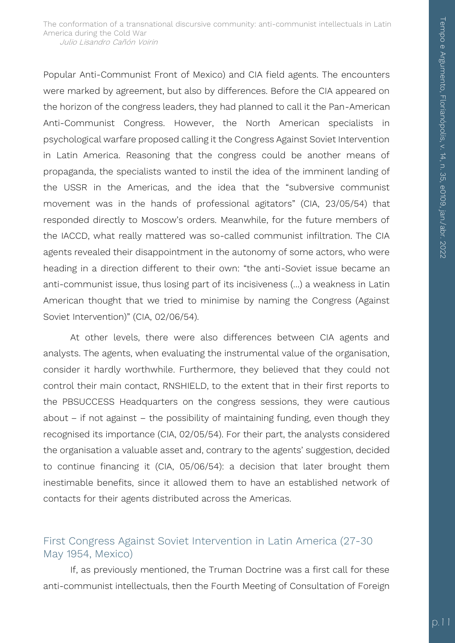Popular Anti-Communist Front of Mexico) and CIA field agents. The encounters were marked by agreement, but also by differences. Before the CIA appeared on the horizon of the congress leaders, they had planned to call it the Pan-American Anti-Communist Congress. However, the North American specialists in psychological warfare proposed calling it the Congress Against Soviet Intervention in Latin America. Reasoning that the congress could be another means of propaganda, the specialists wanted to instil the idea of the imminent landing of the USSR in the Americas, and the idea that the "subversive communist movement was in the hands of professional agitators" (CIA, 23/05/54) that responded directly to Moscow's orders. Meanwhile, for the future members of the IACCD, what really mattered was so-called communist infiltration. The CIA agents revealed their disappointment in the autonomy of some actors, who were heading in a direction different to their own: "the anti-Soviet issue became an anti-communist issue, thus losing part of its incisiveness (…) a weakness in Latin American thought that we tried to minimise by naming the Congress (Against Soviet Intervention)" (CIA, 02/06/54).

At other levels, there were also differences between CIA agents and analysts. The agents, when evaluating the instrumental value of the organisation, consider it hardly worthwhile. Furthermore, they believed that they could not control their main contact, RNSHIELD, to the extent that in their first reports to the PBSUCCESS Headquarters on the congress sessions, they were cautious about – if not against – the possibility of maintaining funding, even though they recognised its importance (CIA, 02/05/54). For their part, the analysts considered the organisation a valuable asset and, contrary to the agents' suggestion, decided to continue financing it (CIA, 05/06/54): a decision that later brought them inestimable benefits, since it allowed them to have an established network of contacts for their agents distributed across the Americas.

# First Congress Against Soviet Intervention in Latin America (27-30 May 1954, Mexico)

If, as previously mentioned, the Truman Doctrine was a first call for these anti-communist intellectuals, then the Fourth Meeting of Consultation of Foreign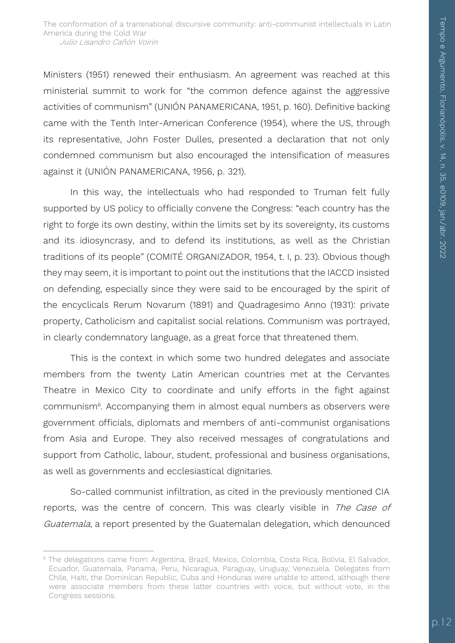Ministers (1951) renewed their enthusiasm. An agreement was reached at this ministerial summit to work for "the common defence against the aggressive activities of communism" (UNIÓN PANAMERICANA, 1951, p. 160). Definitive backing came with the Tenth Inter-American Conference (1954), where the US, through its representative, John Foster Dulles, presented a declaration that not only condemned communism but also encouraged the intensification of measures against it (UNIÓN PANAMERICANA, 1956, p. 321).

In this way, the intellectuals who had responded to Truman felt fully supported by US policy to officially convene the Congress: "each country has the right to forge its own destiny, within the limits set by its sovereignty, its customs and its idiosyncrasy, and to defend its institutions, as well as the Christian traditions of its people" (COMITÉ ORGANIZADOR, 1954, t. I, p. 23). Obvious though they may seem, it is important to point out the institutions that the IACCD insisted on defending, especially since they were said to be encouraged by the spirit of the encyclicals Rerum Novarum (1891) and Quadragesimo Anno (1931): private property, Catholicism and capitalist social relations. Communism was portrayed, in clearly condemnatory language, as a great force that threatened them.

This is the context in which some two hundred delegates and associate members from the twenty Latin American countries met at the Cervantes Theatre in Mexico City to coordinate and unify efforts in the fight against communism<sup>6</sup>. Accompanying them in almost equal numbers as observers were government officials, diplomats and members of anti-communist organisations from Asia and Europe. They also received messages of congratulations and support from Catholic, labour, student, professional and business organisations, as well as governments and ecclesiastical dignitaries.

So-called communist infiltration, as cited in the previously mentioned CIA reports, was the centre of concern. This was clearly visible in The Case of Guatemala, a report presented by the Guatemalan delegation, which denounced

1

<sup>&</sup>lt;sup>6</sup> The delegations came from: Argentina, Brazil, Mexico, Colombia, Costa Rica, Bolivia, El Salvador, Ecuador, Guatemala, Panama, Peru, Nicaragua, Paraguay, Uruguay, Venezuela. Delegates from Chile, Haiti, the Dominican Republic, Cuba and Honduras were unable to attend, although there were associate members from these latter countries with voice, but without vote, in the Congress sessions.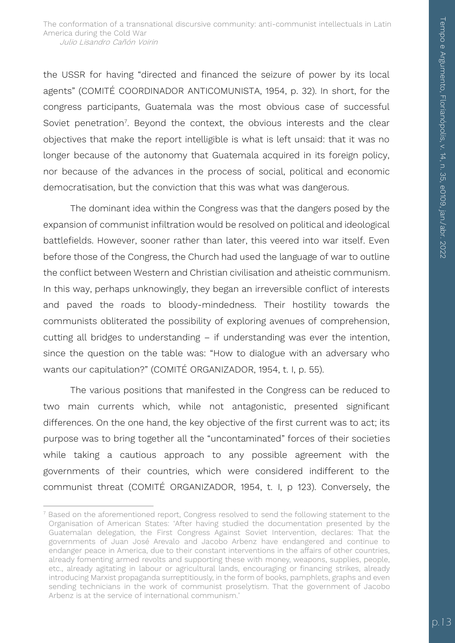the USSR for having "directed and financed the seizure of power by its local agents" (COMITÉ COORDINADOR ANTICOMUNISTA, 1954, p. 32). In short, for the congress participants, Guatemala was the most obvious case of successful Soviet penetration<sup>7</sup>. Beyond the context, the obvious interests and the clear objectives that make the report intelligible is what is left unsaid: that it was no longer because of the autonomy that Guatemala acquired in its foreign policy, nor because of the advances in the process of social, political and economic democratisation, but the conviction that this was what was dangerous.

The dominant idea within the Congress was that the dangers posed by the expansion of communist infiltration would be resolved on political and ideological battlefields. However, sooner rather than later, this veered into war itself. Even before those of the Congress, the Church had used the language of war to outline the conflict between Western and Christian civilisation and atheistic communism. In this way, perhaps unknowingly, they began an irreversible conflict of interests and paved the roads to bloody-mindedness. Their hostility towards the communists obliterated the possibility of exploring avenues of comprehension, cutting all bridges to understanding – if understanding was ever the intention, since the question on the table was: "How to dialogue with an adversary who wants our capitulation?" (COMITÉ ORGANIZADOR, 1954, t. I, p. 55).

The various positions that manifested in the Congress can be reduced to two main currents which, while not antagonistic, presented significant differences. On the one hand, the key objective of the first current was to act; its purpose was to bring together all the "uncontaminated" forces of their societies while taking a cautious approach to any possible agreement with the governments of their countries, which were considered indifferent to the communist threat (COMITÉ ORGANIZADOR, 1954, t. I, p 123). Conversely, the

1

<sup>&</sup>lt;sup>7</sup> Based on the aforementioned report, Congress resolved to send the following statement to the Organisation of American States: 'After having studied the documentation presented by the Guatemalan delegation, the First Congress Against Soviet Intervention, declares: That the governments of Juan José Arevalo and Jacobo Arbenz have endangered and continue to endanger peace in America, due to their constant interventions in the affairs of other countries, already fomenting armed revolts and supporting these with money, weapons, supplies, people, etc., already agitating in labour or agricultural lands, encouraging or financing strikes, already introducing Marxist propaganda surreptitiously, in the form of books, pamphlets, graphs and even sending technicians in the work of communist proselytism. That the government of Jacobo Arbenz is at the service of international communism.'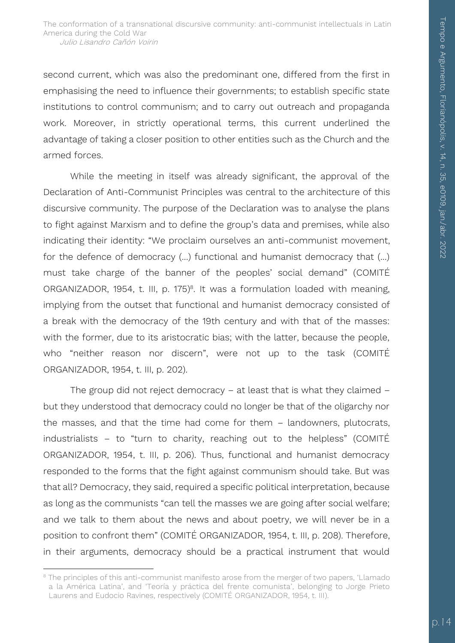second current, which was also the predominant one, differed from the first in emphasising the need to influence their governments; to establish specific state institutions to control communism; and to carry out outreach and propaganda work. Moreover, in strictly operational terms, this current underlined the advantage of taking a closer position to other entities such as the Church and the armed forces.

While the meeting in itself was already significant, the approval of the Declaration of Anti-Communist Principles was central to the architecture of this discursive community. The purpose of the Declaration was to analyse the plans to fight against Marxism and to define the group's data and premises, while also indicating their identity: "We proclaim ourselves an anti-communist movement, for the defence of democracy (…) functional and humanist democracy that (…) must take charge of the banner of the peoples' social demand" (COMITÉ ORGANIZADOR, 1954, t. III, p. 175)<sup>8</sup>. It was a formulation loaded with meaning, implying from the outset that functional and humanist democracy consisted of a break with the democracy of the 19th century and with that of the masses: with the former, due to its aristocratic bias; with the latter, because the people, who "neither reason nor discern", were not up to the task (COMITÉ ORGANIZADOR, 1954, t. III, p. 202).

The group did not reject democracy – at least that is what they claimed – but they understood that democracy could no longer be that of the oligarchy nor the masses, and that the time had come for them – landowners, plutocrats, industrialists – to "turn to charity, reaching out to the helpless" (COMITÉ ORGANIZADOR, 1954, t. III, p. 206). Thus, functional and humanist democracy responded to the forms that the fight against communism should take. But was that all? Democracy, they said, required a specific political interpretation, because as long as the communists "can tell the masses we are going after social welfare; and we talk to them about the news and about poetry, we will never be in a position to confront them" (COMITÉ ORGANIZADOR, 1954, t. III, p. 208). Therefore, in their arguments, democracy should be a practical instrument that would

 $\overline{a}$ <sup>8</sup> The principles of this anti-communist manifesto arose from the merger of two papers, 'Llamado a la América Latina', and 'Teoría y práctica del frente comunista', belonging to Jorge Prieto Laurens and Eudocio Ravines, respectively (COMITÉ ORGANIZADOR, 1954, t. III).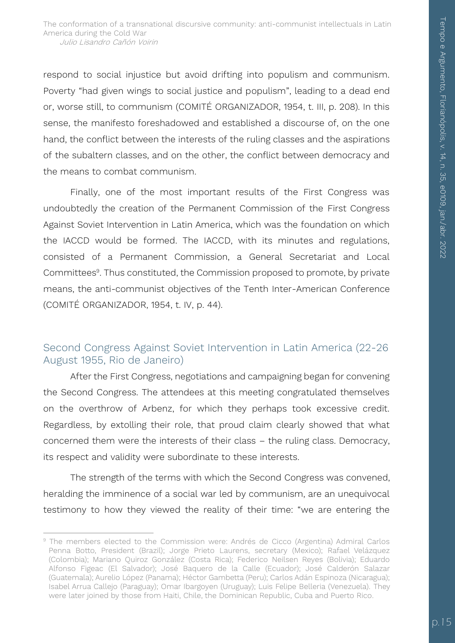respond to social injustice but avoid drifting into populism and communism. Poverty "had given wings to social justice and populism", leading to a dead end or, worse still, to communism (COMITÉ ORGANIZADOR, 1954, t. III, p. 208). In this sense, the manifesto foreshadowed and established a discourse of, on the one hand, the conflict between the interests of the ruling classes and the aspirations of the subaltern classes, and on the other, the conflict between democracy and the means to combat communism.

Finally, one of the most important results of the First Congress was undoubtedly the creation of the Permanent Commission of the First Congress Against Soviet Intervention in Latin America, which was the foundation on which the IACCD would be formed. The IACCD, with its minutes and regulations, consisted of a Permanent Commission, a General Secretariat and Local Committees<sup>9</sup>. Thus constituted, the Commission proposed to promote, by private means, the anti-communist objectives of the Tenth Inter-American Conference (COMITÉ ORGANIZADOR, 1954, t. IV, p. 44).

## Second Congress Against Soviet Intervention in Latin America (22-26 August 1955, Rio de Janeiro)

After the First Congress, negotiations and campaigning began for convening the Second Congress. The attendees at this meeting congratulated themselves on the overthrow of Arbenz, for which they perhaps took excessive credit. Regardless, by extolling their role, that proud claim clearly showed that what concerned them were the interests of their class – the ruling class. Democracy, its respect and validity were subordinate to these interests.

The strength of the terms with which the Second Congress was convened, heralding the imminence of a social war led by communism, are an unequivocal testimony to how they viewed the reality of their time: "we are entering the

<sup>1</sup> <sup>9</sup> The members elected to the Commission were: Andrés de Cicco (Argentina) Admiral Carlos Penna Botto, President (Brazil); Jorge Prieto Laurens, secretary (Mexico); Rafael Velázquez (Colombia); Mariano Quiroz González (Costa Rica); Federico Neilsen Reyes (Bolivia); Eduardo Alfonso Figeac (El Salvador); José Baquero de la Calle (Ecuador); José Calderón Salazar (Guatemala); Aurelio López (Panama); Héctor Gambetta (Peru); Carlos Adán Espinoza (Nicaragua); Isabel Arrua Callejo (Paraguay); Omar Ibargoyen (Uruguay); Luis Felipe Belleria (Venezuela). They were later joined by those from Haiti, Chile, the Dominican Republic, Cuba and Puerto Rico.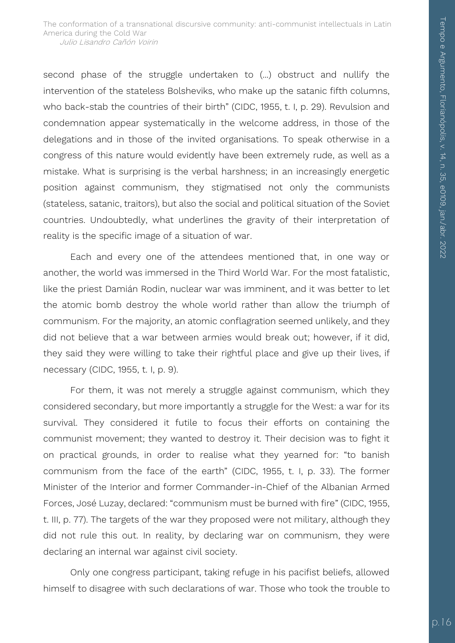second phase of the struggle undertaken to (...) obstruct and nullify the intervention of the stateless Bolsheviks, who make up the satanic fifth columns, who back-stab the countries of their birth" (CIDC, 1955, t. I, p. 29). Revulsion and condemnation appear systematically in the welcome address, in those of the delegations and in those of the invited organisations. To speak otherwise in a congress of this nature would evidently have been extremely rude, as well as a mistake. What is surprising is the verbal harshness; in an increasingly energetic position against communism, they stigmatised not only the communists (stateless, satanic, traitors), but also the social and political situation of the Soviet countries. Undoubtedly, what underlines the gravity of their interpretation of reality is the specific image of a situation of war.

Each and every one of the attendees mentioned that, in one way or another, the world was immersed in the Third World War. For the most fatalistic, like the priest Damián Rodin, nuclear war was imminent, and it was better to let the atomic bomb destroy the whole world rather than allow the triumph of communism. For the majority, an atomic conflagration seemed unlikely, and they did not believe that a war between armies would break out; however, if it did, they said they were willing to take their rightful place and give up their lives, if necessary (CIDC, 1955, t. I, p. 9).

For them, it was not merely a struggle against communism, which they considered secondary, but more importantly a struggle for the West: a war for its survival. They considered it futile to focus their efforts on containing the communist movement; they wanted to destroy it. Their decision was to fight it on practical grounds, in order to realise what they yearned for: "to banish communism from the face of the earth" (CIDC, 1955, t. I, p. 33). The former Minister of the Interior and former Commander-in-Chief of the Albanian Armed Forces, José Luzay, declared: "communism must be burned with fire" (CIDC, 1955, t. III, p. 77). The targets of the war they proposed were not military, although they did not rule this out. In reality, by declaring war on communism, they were declaring an internal war against civil society.

Only one congress participant, taking refuge in his pacifist beliefs, allowed himself to disagree with such declarations of war. Those who took the trouble to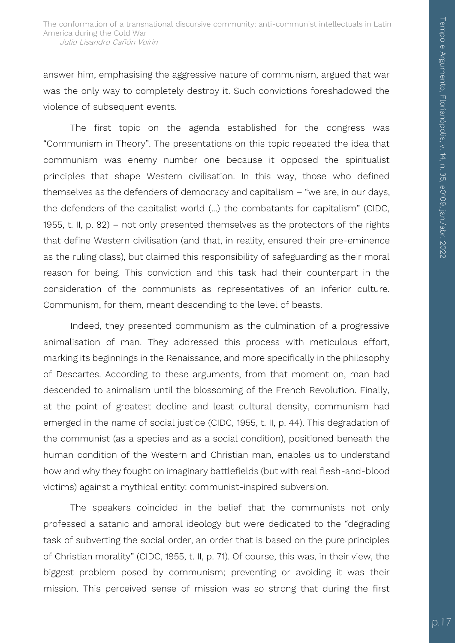answer him, emphasising the aggressive nature of communism, argued that war was the only way to completely destroy it. Such convictions foreshadowed the violence of subsequent events.

The first topic on the agenda established for the congress was "Communism in Theory". The presentations on this topic repeated the idea that communism was enemy number one because it opposed the spiritualist principles that shape Western civilisation. In this way, those who defined themselves as the defenders of democracy and capitalism – "we are, in our days, the defenders of the capitalist world (...) the combatants for capitalism" (CIDC, 1955, t. II, p. 82) – not only presented themselves as the protectors of the rights that define Western civilisation (and that, in reality, ensured their pre-eminence as the ruling class), but claimed this responsibility of safeguarding as their moral reason for being. This conviction and this task had their counterpart in the consideration of the communists as representatives of an inferior culture. Communism, for them, meant descending to the level of beasts.

Indeed, they presented communism as the culmination of a progressive animalisation of man. They addressed this process with meticulous effort, marking its beginnings in the Renaissance, and more specifically in the philosophy of Descartes. According to these arguments, from that moment on, man had descended to animalism until the blossoming of the French Revolution. Finally, at the point of greatest decline and least cultural density, communism had emerged in the name of social justice (CIDC, 1955, t. II, p. 44). This degradation of the communist (as a species and as a social condition), positioned beneath the human condition of the Western and Christian man, enables us to understand how and why they fought on imaginary battlefields (but with real flesh-and-blood victims) against a mythical entity: communist-inspired subversion.

The speakers coincided in the belief that the communists not only professed a satanic and amoral ideology but were dedicated to the "degrading task of subverting the social order, an order that is based on the pure principles of Christian morality" (CIDC, 1955, t. II, p. 71). Of course, this was, in their view, the biggest problem posed by communism; preventing or avoiding it was their mission. This perceived sense of mission was so strong that during the first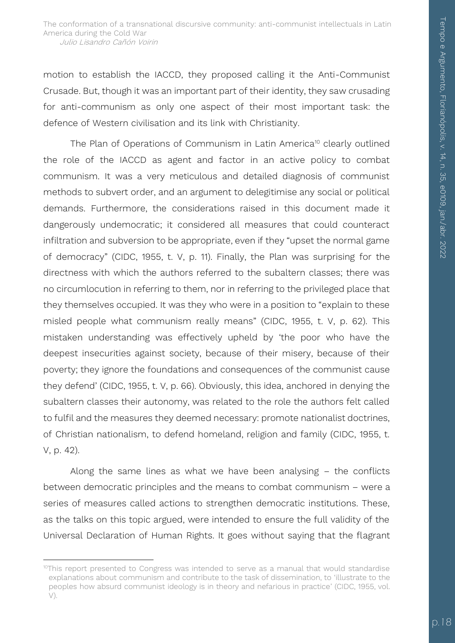motion to establish the IACCD, they proposed calling it the Anti-Communist Crusade. But, though it was an important part of their identity, they saw crusading for anti-communism as only one aspect of their most important task: the defence of Western civilisation and its link with Christianity.

The Plan of Operations of Communism in Latin America<sup>10</sup> clearly outlined the role of the IACCD as agent and factor in an active policy to combat communism. It was a very meticulous and detailed diagnosis of communist methods to subvert order, and an argument to delegitimise any social or political demands. Furthermore, the considerations raised in this document made it dangerously undemocratic; it considered all measures that could counteract infiltration and subversion to be appropriate, even if they "upset the normal game of democracy" (CIDC, 1955, t. V, p. 11). Finally, the Plan was surprising for the directness with which the authors referred to the subaltern classes; there was no circumlocution in referring to them, nor in referring to the privileged place that they themselves occupied. It was they who were in a position to "explain to these misled people what communism really means" (CIDC, 1955, t. V, p. 62). This mistaken understanding was effectively upheld by 'the poor who have the deepest insecurities against society, because of their misery, because of their poverty; they ignore the foundations and consequences of the communist cause they defend' (CIDC, 1955, t. V, p. 66). Obviously, this idea, anchored in denying the subaltern classes their autonomy, was related to the role the authors felt called to fulfil and the measures they deemed necessary: promote nationalist doctrines, of Christian nationalism, to defend homeland, religion and family (CIDC, 1955, t. V, p. 42).

Along the same lines as what we have been analysing – the conflicts between democratic principles and the means to combat communism – were a series of measures called actions to strengthen democratic institutions. These, as the talks on this topic argued, were intended to ensure the full validity of the Universal Declaration of Human Rights. It goes without saying that the flagrant

1

<sup>&</sup>lt;sup>10</sup>This report presented to Congress was intended to serve as a manual that would standardise explanations about communism and contribute to the task of dissemination, to 'illustrate to the peoples how absurd communist ideology is in theory and nefarious in practice' (CIDC, 1955, vol. V).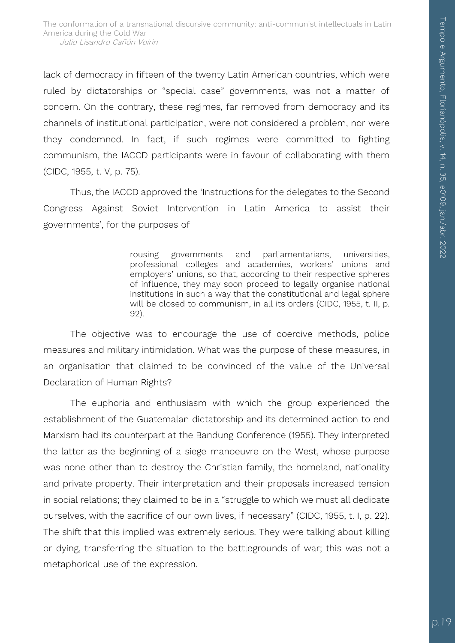lack of democracy in fifteen of the twenty Latin American countries, which were ruled by dictatorships or "special case" governments, was not a matter of concern. On the contrary, these regimes, far removed from democracy and its channels of institutional participation, were not considered a problem, nor were they condemned. In fact, if such regimes were committed to fighting communism, the IACCD participants were in favour of collaborating with them (CIDC, 1955, t. V, p. 75).

Thus, the IACCD approved the 'Instructions for the delegates to the Second Congress Against Soviet Intervention in Latin America to assist their governments', for the purposes of

> rousing governments and parliamentarians, universities, professional colleges and academies, workers' unions and employers' unions, so that, according to their respective spheres of influence, they may soon proceed to legally organise national institutions in such a way that the constitutional and legal sphere will be closed to communism, in all its orders (CIDC, 1955, t. II, p. 92).

The objective was to encourage the use of coercive methods, police measures and military intimidation. What was the purpose of these measures, in an organisation that claimed to be convinced of the value of the Universal Declaration of Human Rights?

The euphoria and enthusiasm with which the group experienced the establishment of the Guatemalan dictatorship and its determined action to end Marxism had its counterpart at the Bandung Conference (1955). They interpreted the latter as the beginning of a siege manoeuvre on the West, whose purpose was none other than to destroy the Christian family, the homeland, nationality and private property. Their interpretation and their proposals increased tension in social relations; they claimed to be in a "struggle to which we must all dedicate ourselves, with the sacrifice of our own lives, if necessary" (CIDC, 1955, t. I, p. 22). The shift that this implied was extremely serious. They were talking about killing or dying, transferring the situation to the battlegrounds of war; this was not a metaphorical use of the expression.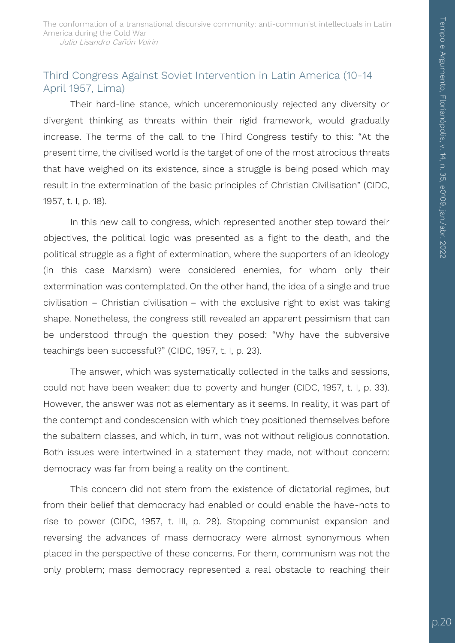# Third Congress Against Soviet Intervention in Latin America (10-14 April 1957, Lima)

Their hard-line stance, which unceremoniously rejected any diversity or divergent thinking as threats within their rigid framework, would gradually increase. The terms of the call to the Third Congress testify to this: "At the present time, the civilised world is the target of one of the most atrocious threats that have weighed on its existence, since a struggle is being posed which may result in the extermination of the basic principles of Christian Civilisation" (CIDC, 1957, t. I, p. 18).

In this new call to congress, which represented another step toward their objectives, the political logic was presented as a fight to the death, and the political struggle as a fight of extermination, where the supporters of an ideology (in this case Marxism) were considered enemies, for whom only their extermination was contemplated. On the other hand, the idea of a single and true civilisation – Christian civilisation – with the exclusive right to exist was taking shape. Nonetheless, the congress still revealed an apparent pessimism that can be understood through the question they posed: "Why have the subversive teachings been successful?" (CIDC, 1957, t. I, p. 23).

The answer, which was systematically collected in the talks and sessions, could not have been weaker: due to poverty and hunger (CIDC, 1957, t. I, p. 33). However, the answer was not as elementary as it seems. In reality, it was part of the contempt and condescension with which they positioned themselves before the subaltern classes, and which, in turn, was not without religious connotation. Both issues were intertwined in a statement they made, not without concern: democracy was far from being a reality on the continent.

This concern did not stem from the existence of dictatorial regimes, but from their belief that democracy had enabled or could enable the have-nots to rise to power (CIDC, 1957, t. III, p. 29). Stopping communist expansion and reversing the advances of mass democracy were almost synonymous when placed in the perspective of these concerns. For them, communism was not the only problem; mass democracy represented a real obstacle to reaching their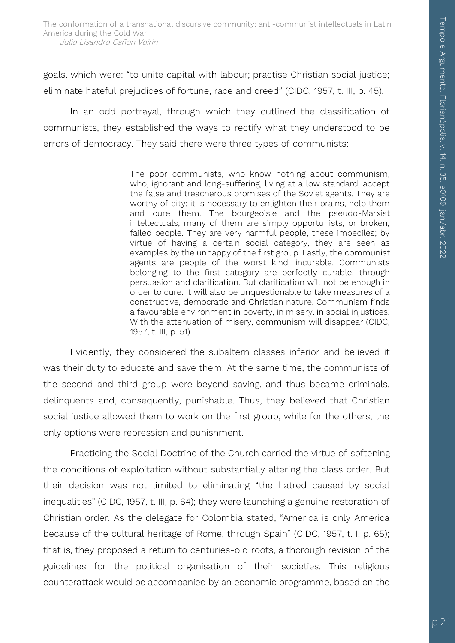goals, which were: "to unite capital with labour; practise Christian social justice; eliminate hateful prejudices of fortune, race and creed" (CIDC, 1957, t. III, p. 45).

In an odd portrayal, through which they outlined the classification of communists, they established the ways to rectify what they understood to be errors of democracy. They said there were three types of communists:

> The poor communists, who know nothing about communism, who, ignorant and long-suffering, living at a low standard, accept the false and treacherous promises of the Soviet agents. They are worthy of pity; it is necessary to enlighten their brains, help them and cure them. The bourgeoisie and the pseudo-Marxist intellectuals; many of them are simply opportunists, or broken, failed people. They are very harmful people, these imbeciles; by virtue of having a certain social category, they are seen as examples by the unhappy of the first group. Lastly, the communist agents are people of the worst kind, incurable. Communists belonging to the first category are perfectly curable, through persuasion and clarification. But clarification will not be enough in order to cure. It will also be unquestionable to take measures of a constructive, democratic and Christian nature. Communism finds a favourable environment in poverty, in misery, in social injustices. With the attenuation of misery, communism will disappear (CIDC, 1957, t. III, p. 51).

Evidently, they considered the subaltern classes inferior and believed it was their duty to educate and save them. At the same time, the communists of the second and third group were beyond saving, and thus became criminals, delinquents and, consequently, punishable. Thus, they believed that Christian social justice allowed them to work on the first group, while for the others, the only options were repression and punishment.

Practicing the Social Doctrine of the Church carried the virtue of softening the conditions of exploitation without substantially altering the class order. But their decision was not limited to eliminating "the hatred caused by social inequalities" (CIDC, 1957, t. III, p. 64); they were launching a genuine restoration of Christian order. As the delegate for Colombia stated, "America is only America because of the cultural heritage of Rome, through Spain" (CIDC, 1957, t. I, p. 65); that is, they proposed a return to centuries-old roots, a thorough revision of the guidelines for the political organisation of their societies. This religious counterattack would be accompanied by an economic programme, based on the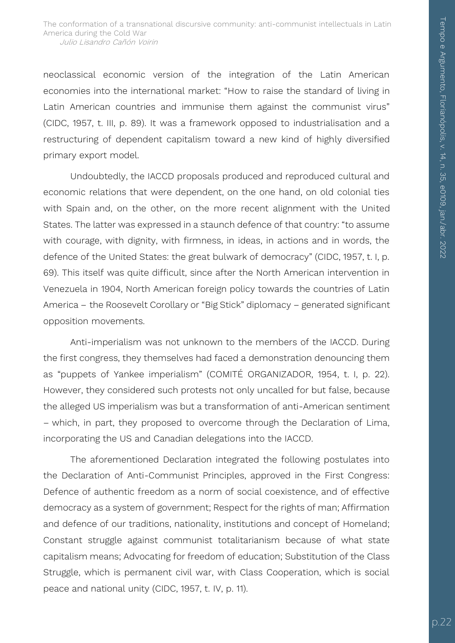neoclassical economic version of the integration of the Latin American economies into the international market: "How to raise the standard of living in Latin American countries and immunise them against the communist virus" (CIDC, 1957, t. III, p. 89). It was a framework opposed to industrialisation and a restructuring of dependent capitalism toward a new kind of highly diversified primary export model.

Undoubtedly, the IACCD proposals produced and reproduced cultural and economic relations that were dependent, on the one hand, on old colonial ties with Spain and, on the other, on the more recent alignment with the United States. The latter was expressed in a staunch defence of that country: "to assume with courage, with dignity, with firmness, in ideas, in actions and in words, the defence of the United States: the great bulwark of democracy" (CIDC, 1957, t. I, p. 69). This itself was quite difficult, since after the North American intervention in Venezuela in 1904, North American foreign policy towards the countries of Latin America – the Roosevelt Corollary or "Big Stick" diplomacy – generated significant opposition movements.

Anti-imperialism was not unknown to the members of the IACCD. During the first congress, they themselves had faced a demonstration denouncing them as "puppets of Yankee imperialism" (COMITÉ ORGANIZADOR, 1954, t. I, p. 22). However, they considered such protests not only uncalled for but false, because the alleged US imperialism was but a transformation of anti-American sentiment – which, in part, they proposed to overcome through the Declaration of Lima, incorporating the US and Canadian delegations into the IACCD.

The aforementioned Declaration integrated the following postulates into the Declaration of Anti-Communist Principles, approved in the First Congress: Defence of authentic freedom as a norm of social coexistence, and of effective democracy as a system of government; Respect for the rights of man; Affirmation and defence of our traditions, nationality, institutions and concept of Homeland; Constant struggle against communist totalitarianism because of what state capitalism means; Advocating for freedom of education; Substitution of the Class Struggle, which is permanent civil war, with Class Cooperation, which is social peace and national unity (CIDC, 1957, t. IV, p. 11).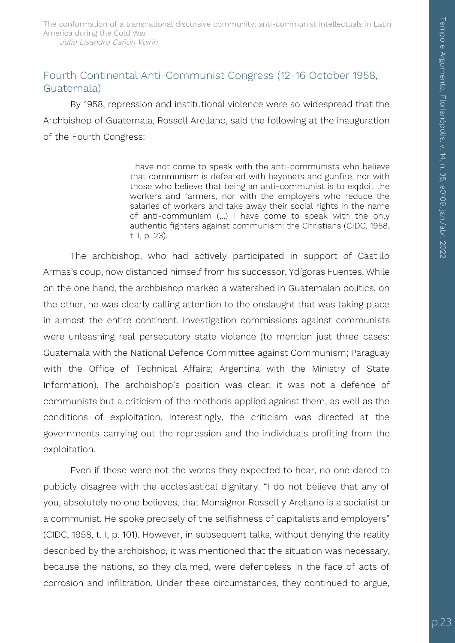# Fourth Continental Anti-Communist Congress (12-16 October 1958, Guatemala)

By 1958, repression and institutional violence were so widespread that the Archbishop of Guatemala, Rossell Arellano, said the following at the inauguration of the Fourth Congress:

> I have not come to speak with the anti-communists who believe that communism is defeated with bayonets and gunfire, nor with those who believe that being an anti-communist is to exploit the workers and farmers, nor with the employers who reduce the salaries of workers and take away their social rights in the name of anti-communism (…) I have come to speak with the only authentic fighters against communism: the Christians (CIDC, 1958, t. I, p. 23).

The archbishop, who had actively participated in support of Castillo Armas's coup, now distanced himself from his successor, Ydígoras Fuentes. While on the one hand, the archbishop marked a watershed in Guatemalan politics, on the other, he was clearly calling attention to the onslaught that was taking place in almost the entire continent. Investigation commissions against communists were unleashing real persecutory state violence (to mention just three cases: Guatemala with the National Defence Committee against Communism; Paraguay with the Office of Technical Affairs; Argentina with the Ministry of State Information). The archbishop's position was clear; it was not a defence of communists but a criticism of the methods applied against them, as well as the conditions of exploitation. Interestingly, the criticism was directed at the governments carrying out the repression and the individuals profiting from the exploitation.

Even if these were not the words they expected to hear, no one dared to publicly disagree with the ecclesiastical dignitary. "I do not believe that any of you, absolutely no one believes, that Monsignor Rossell y Arellano is a socialist or a communist. He spoke precisely of the selfishness of capitalists and employers" (CIDC, 1958, t. I, p. 101). However, in subsequent talks, without denying the reality described by the archbishop, it was mentioned that the situation was necessary, because the nations, so they claimed, were defenceless in the face of acts of corrosion and infiltration. Under these circumstances, they continued to argue,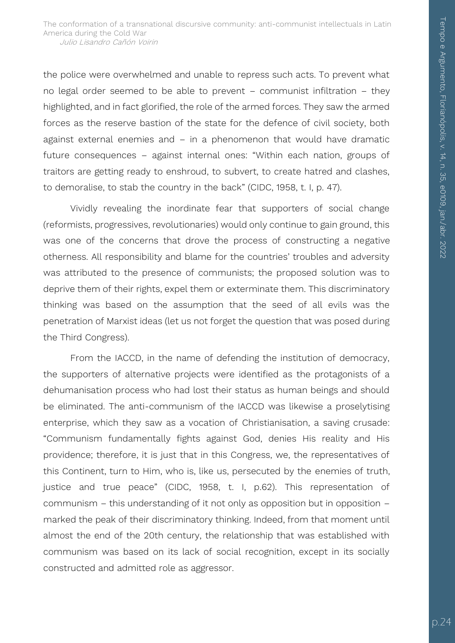the police were overwhelmed and unable to repress such acts. To prevent what no legal order seemed to be able to prevent – communist infiltration – they highlighted, and in fact glorified, the role of the armed forces. They saw the armed forces as the reserve bastion of the state for the defence of civil society, both against external enemies and – in a phenomenon that would have dramatic future consequences – against internal ones: "Within each nation, groups of traitors are getting ready to enshroud, to subvert, to create hatred and clashes, to demoralise, to stab the country in the back" (CIDC, 1958, t. I, p. 47).

Vividly revealing the inordinate fear that supporters of social change (reformists, progressives, revolutionaries) would only continue to gain ground, this was one of the concerns that drove the process of constructing a negative otherness. All responsibility and blame for the countries' troubles and adversity was attributed to the presence of communists; the proposed solution was to deprive them of their rights, expel them or exterminate them. This discriminatory thinking was based on the assumption that the seed of all evils was the penetration of Marxist ideas (let us not forget the question that was posed during the Third Congress).

From the IACCD, in the name of defending the institution of democracy, the supporters of alternative projects were identified as the protagonists of a dehumanisation process who had lost their status as human beings and should be eliminated. The anti-communism of the IACCD was likewise a proselytising enterprise, which they saw as a vocation of Christianisation, a saving crusade: "Communism fundamentally fights against God, denies His reality and His providence; therefore, it is just that in this Congress, we, the representatives of this Continent, turn to Him, who is, like us, persecuted by the enemies of truth, justice and true peace" (CIDC, 1958, t. I, p.62). This representation of communism – this understanding of it not only as opposition but in opposition – marked the peak of their discriminatory thinking. Indeed, from that moment until almost the end of the 20th century, the relationship that was established with communism was based on its lack of social recognition, except in its socially constructed and admitted role as aggressor.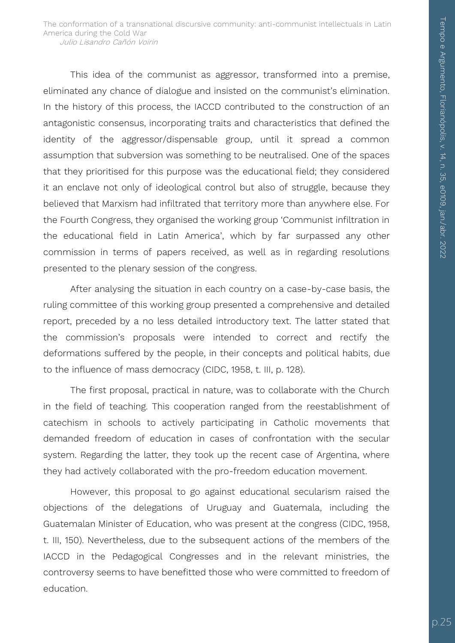This idea of the communist as aggressor, transformed into a premise, eliminated any chance of dialogue and insisted on the communist's elimination. In the history of this process, the IACCD contributed to the construction of an antagonistic consensus, incorporating traits and characteristics that defined the identity of the aggressor/dispensable group, until it spread a common assumption that subversion was something to be neutralised. One of the spaces that they prioritised for this purpose was the educational field; they considered it an enclave not only of ideological control but also of struggle, because they believed that Marxism had infiltrated that territory more than anywhere else. For the Fourth Congress, they organised the working group 'Communist infiltration in the educational field in Latin America', which by far surpassed any other commission in terms of papers received, as well as in regarding resolutions presented to the plenary session of the congress.

After analysing the situation in each country on a case-by-case basis, the ruling committee of this working group presented a comprehensive and detailed report, preceded by a no less detailed introductory text. The latter stated that the commission's proposals were intended to correct and rectify the deformations suffered by the people, in their concepts and political habits, due to the influence of mass democracy (CIDC, 1958, t. III, p. 128).

The first proposal, practical in nature, was to collaborate with the Church in the field of teaching. This cooperation ranged from the reestablishment of catechism in schools to actively participating in Catholic movements that demanded freedom of education in cases of confrontation with the secular system. Regarding the latter, they took up the recent case of Argentina, where they had actively collaborated with the pro-freedom education movement.

However, this proposal to go against educational secularism raised the objections of the delegations of Uruguay and Guatemala, including the Guatemalan Minister of Education, who was present at the congress (CIDC, 1958, t. III, 150). Nevertheless, due to the subsequent actions of the members of the IACCD in the Pedagogical Congresses and in the relevant ministries, the controversy seems to have benefitted those who were committed to freedom of education.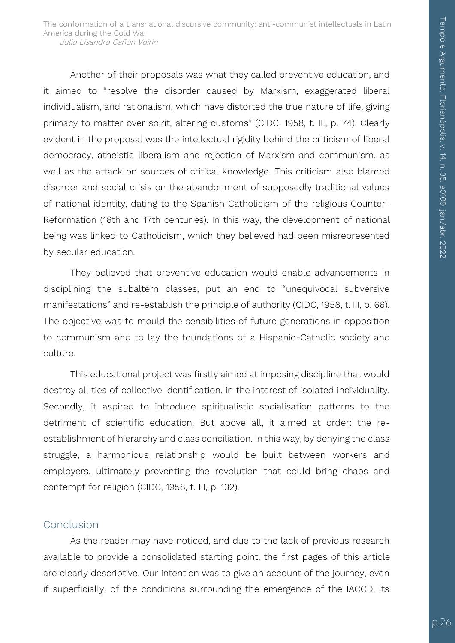Another of their proposals was what they called preventive education, and it aimed to "resolve the disorder caused by Marxism, exaggerated liberal individualism, and rationalism, which have distorted the true nature of life, giving primacy to matter over spirit, altering customs" (CIDC, 1958, t. III, p. 74). Clearly evident in the proposal was the intellectual rigidity behind the criticism of liberal democracy, atheistic liberalism and rejection of Marxism and communism, as well as the attack on sources of critical knowledge. This criticism also blamed disorder and social crisis on the abandonment of supposedly traditional values of national identity, dating to the Spanish Catholicism of the religious Counter-Reformation (16th and 17th centuries). In this way, the development of national being was linked to Catholicism, which they believed had been misrepresented by secular education.

They believed that preventive education would enable advancements in disciplining the subaltern classes, put an end to "unequivocal subversive manifestations" and re-establish the principle of authority (CIDC, 1958, t. III, p. 66). The objective was to mould the sensibilities of future generations in opposition to communism and to lay the foundations of a Hispanic-Catholic society and culture.

This educational project was firstly aimed at imposing discipline that would destroy all ties of collective identification, in the interest of isolated individuality. Secondly, it aspired to introduce spiritualistic socialisation patterns to the detriment of scientific education. But above all, it aimed at order: the reestablishment of hierarchy and class conciliation. In this way, by denying the class struggle, a harmonious relationship would be built between workers and employers, ultimately preventing the revolution that could bring chaos and contempt for religion (CIDC, 1958, t. III, p. 132).

#### Conclusion

As the reader may have noticed, and due to the lack of previous research available to provide a consolidated starting point, the first pages of this article are clearly descriptive. Our intention was to give an account of the journey, even if superficially, of the conditions surrounding the emergence of the IACCD, its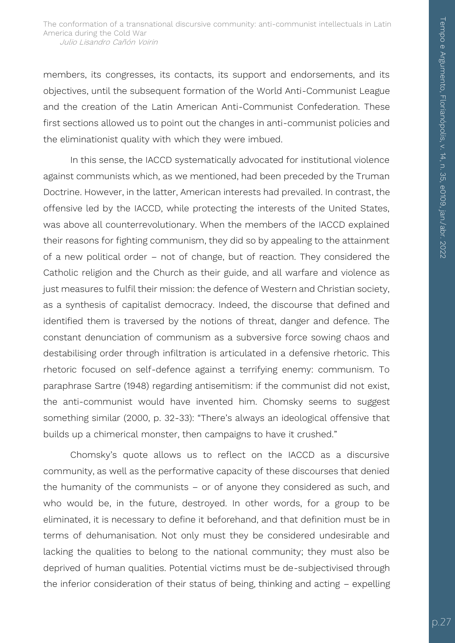members, its congresses, its contacts, its support and endorsements, and its objectives, until the subsequent formation of the World Anti-Communist League and the creation of the Latin American Anti-Communist Confederation. These first sections allowed us to point out the changes in anti-communist policies and the eliminationist quality with which they were imbued.

In this sense, the IACCD systematically advocated for institutional violence against communists which, as we mentioned, had been preceded by the Truman Doctrine. However, in the latter, American interests had prevailed. In contrast, the offensive led by the IACCD, while protecting the interests of the United States, was above all counterrevolutionary. When the members of the IACCD explained their reasons for fighting communism, they did so by appealing to the attainment of a new political order – not of change, but of reaction. They considered the Catholic religion and the Church as their guide, and all warfare and violence as just measures to fulfil their mission: the defence of Western and Christian society, as a synthesis of capitalist democracy. Indeed, the discourse that defined and identified them is traversed by the notions of threat, danger and defence. The constant denunciation of communism as a subversive force sowing chaos and destabilising order through infiltration is articulated in a defensive rhetoric. This rhetoric focused on self-defence against a terrifying enemy: communism. To paraphrase Sartre (1948) regarding antisemitism: if the communist did not exist, the anti-communist would have invented him. Chomsky seems to suggest something similar (2000, p. 32-33): "There's always an ideological offensive that builds up a chimerical monster, then campaigns to have it crushed."

Chomsky's quote allows us to reflect on the IACCD as a discursive community, as well as the performative capacity of these discourses that denied the humanity of the communists – or of anyone they considered as such, and who would be, in the future, destroyed. In other words, for a group to be eliminated, it is necessary to define it beforehand, and that definition must be in terms of dehumanisation. Not only must they be considered undesirable and lacking the qualities to belong to the national community; they must also be deprived of human qualities. Potential victims must be de-subjectivised through the inferior consideration of their status of being, thinking and acting – expelling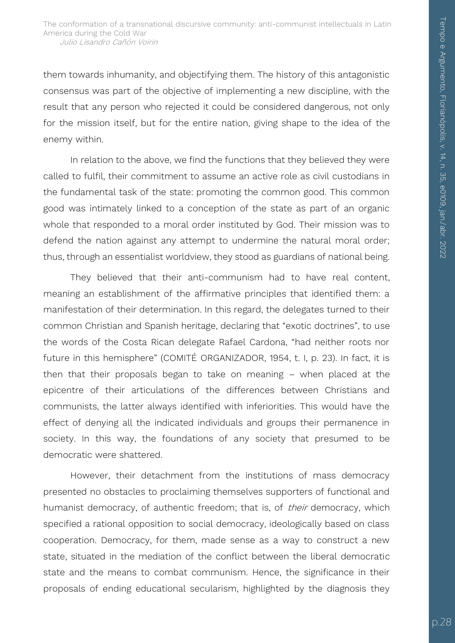them towards inhumanity, and objectifying them. The history of this antagonistic consensus was part of the objective of implementing a new discipline, with the result that any person who rejected it could be considered dangerous, not only for the mission itself, but for the entire nation, giving shape to the idea of the enemy within.

In relation to the above, we find the functions that they believed they were called to fulfil, their commitment to assume an active role as civil custodians in the fundamental task of the state: promoting the common good. This common good was intimately linked to a conception of the state as part of an organic whole that responded to a moral order instituted by God. Their mission was to defend the nation against any attempt to undermine the natural moral order; thus, through an essentialist worldview, they stood as guardians of national being.

They believed that their anti-communism had to have real content, meaning an establishment of the affirmative principles that identified them: a manifestation of their determination. In this regard, the delegates turned to their common Christian and Spanish heritage, declaring that "exotic doctrines", to use the words of the Costa Rican delegate Rafael Cardona, "had neither roots nor future in this hemisphere" (COMITÉ ORGANIZADOR, 1954, t. I, p. 23). In fact, it is then that their proposals began to take on meaning – when placed at the epicentre of their articulations of the differences between Christians and communists, the latter always identified with inferiorities. This would have the effect of denying all the indicated individuals and groups their permanence in society. In this way, the foundations of any society that presumed to be democratic were shattered.

However, their detachment from the institutions of mass democracy presented no obstacles to proclaiming themselves supporters of functional and humanist democracy, of authentic freedom; that is, of *their* democracy, which specified a rational opposition to social democracy, ideologically based on class cooperation. Democracy, for them, made sense as a way to construct a new state, situated in the mediation of the conflict between the liberal democratic state and the means to combat communism. Hence, the significance in their proposals of ending educational secularism, highlighted by the diagnosis they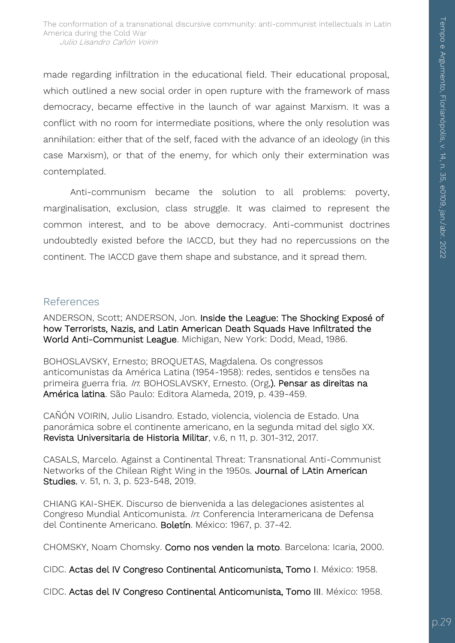made regarding infiltration in the educational field. Their educational proposal, which outlined a new social order in open rupture with the framework of mass democracy, became effective in the launch of war against Marxism. It was a conflict with no room for intermediate positions, where the only resolution was annihilation: either that of the self, faced with the advance of an ideology (in this case Marxism), or that of the enemy, for which only their extermination was contemplated.

Anti-communism became the solution to all problems: poverty, marginalisation, exclusion, class struggle. It was claimed to represent the common interest, and to be above democracy. Anti-communist doctrines undoubtedly existed before the IACCD, but they had no repercussions on the continent. The IACCD gave them shape and substance, and it spread them.

### References

ANDERSON, Scott; ANDERSON, Jon. Inside the League: The Shocking Exposé of how Terrorists, Nazis, and Latin American Death Squads Have Infiltrated the World Anti-Communist League. Michigan, New York: Dodd, Mead, 1986.

BOHOSLAVSKY, Ernesto; BROQUETAS, Magdalena. Os congressos anticomunistas da América Latina (1954-1958): redes, sentidos e tensões na primeira guerra fria. *In*: BOHOSLAVSKY, Ernesto. (Org.). Pensar as direitas na América latina. São Paulo: Editora Alameda, 2019, p. 439-459.

CAÑÓN VOIRIN, Julio Lisandro. Estado, violencia, violencia de Estado. Una panorámica sobre el continente americano, en la segunda mitad del siglo XX. Revista Universitaria de Historia Militar, v.6, n 11, p. 301-312, 2017.

CASALS, Marcelo. Against a Continental Threat: Transnational Anti-Communist Networks of the Chilean Right Wing in the 1950s. Journal of LAtin American Studies, v. 51, n. 3, p. 523-548, 2019.

CHIANG KAI-SHEK. Discurso de bienvenida a las delegaciones asistentes al Congreso Mundial Anticomunista. In: Conferencia Interamericana de Defensa del Continente Americano. Boletín. México: 1967, p. 37-42.

CHOMSKY, Noam Chomsky. Como nos venden la moto. Barcelona: Icaria, 2000.

CIDC. Actas del IV Congreso Continental Anticomunista, Tomo I. México: 1958.

CIDC. Actas del IV Congreso Continental Anticomunista, Tomo III. México: 1958.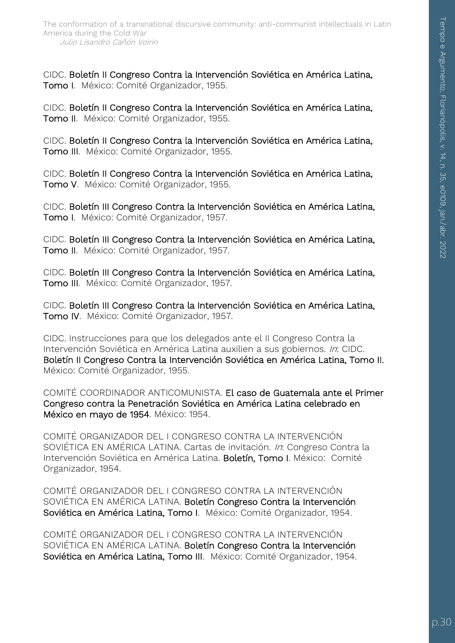CIDC. Boletín II Congreso Contra la Intervención Soviética en América Latina, Tomo I. México: Comité Organizador, 1955.

CIDC. Boletín II Congreso Contra la Intervención Soviética en América Latina, Tomo II. México: Comité Organizador, 1955.

CIDC. Boletín II Congreso Contra la Intervención Soviética en América Latina, Tomo III. México: Comité Organizador, 1955.

CIDC. Boletín II Congreso Contra la Intervención Soviética en América Latina, Tomo V. México: Comité Organizador, 1955.

CIDC. Boletín III Congreso Contra la Intervención Soviética en América Latina, Tomo I. México: Comité Organizador, 1957.

CIDC. Boletín III Congreso Contra la Intervención Soviética en América Latina, Tomo II. México: Comité Organizador, 1957.

CIDC. Boletín III Congreso Contra la Intervención Soviética en América Latina, Tomo III. México: Comité Organizador, 1957.

CIDC. Boletín III Congreso Contra la Intervención Soviética en América Latina, Tomo IV. México: Comité Organizador, 1957.

CIDC. Instrucciones para que los delegados ante el II Congreso Contra la Intervención Soviética en América Latina auxilien a sus gobiernos. In: CIDC. Boletín II Congreso Contra la Intervención Soviética en América Latina, Tomo II. México: Comité Organizador, 1955.

COMITÉ COORDINADOR ANTICOMUNISTA. El caso de Guatemala ante el Primer Congreso contra la Penetración Soviética en América Latina celebrado en México en mayo de 1954. México: 1954.

COMITÉ ORGANIZADOR DEL I CONGRESO CONTRA LA INTERVENCIÓN SOVIÉTICA EN AMÉRICA LATINA. Cartas de invitación. *In*: Congreso Contra la Intervención Soviética en América Latina. Boletín, Tomo I. México: Comité Organizador, 1954.

COMITÉ ORGANIZADOR DEL I CONGRESO CONTRA LA INTERVENCIÓN SOVIÉTICA EN AMÉRICA LATINA. Boletín Congreso Contra la Intervención Soviética en América Latina, Tomo I. México: Comité Organizador, 1954.

COMITÉ ORGANIZADOR DEL I CONGRESO CONTRA LA INTERVENCIÓN SOVIÉTICA EN AMÉRICA LATINA. Boletín Congreso Contra la Intervención Soviética en América Latina, Tomo III. México: Comité Organizador, 1954.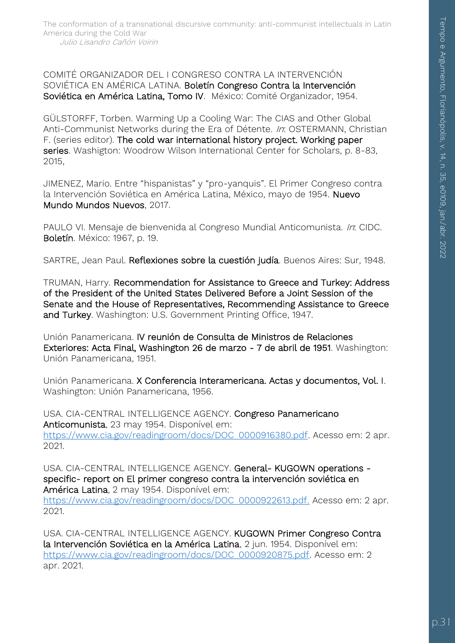COMITÉ ORGANIZADOR DEL I CONGRESO CONTRA LA INTERVENCIÓN SOVIÉTICA EN AMÉRICA LATINA. Boletín Congreso Contra la Intervención Soviética en América Latina, Tomo IV. México: Comité Organizador, 1954.

GÜLSTORFF, Torben. Warming Up a Cooling War: The CIAS and Other Global Anti-Communist Networks during the Era of Détente. In: OSTERMANN, Christian F. (series editor). The cold war international history project. Working paper series. Washigton: Woodrow Wilson International Center for Scholars, p. 8-83, 2015,

JIMENEZ, Mario. Entre "hispanistas" y "pro-yanquis". El Primer Congreso contra la Intervención Soviética en América Latina, México, mayo de 1954. Nuevo Mundo Mundos Nuevos, 2017.

PAULO VI. Mensaje de bienvenida al Congreso Mundial Anticomunista. In: CIDC. Boletín. México: 1967, p. 19.

SARTRE, Jean Paul. Reflexiones sobre la cuestión judía. Buenos Aires: Sur, 1948.

TRUMAN, Harry. Recommendation for Assistance to Greece and Turkey: Address of the President of the United States Delivered Before a Joint Session of the Senate and the House of Representatives, Recommending Assistance to Greece and Turkey. Washington: U.S. Government Printing Office, 1947.

Unión Panamericana. IV reunión de Consulta de Ministros de Relaciones Exteriores: Acta Final, Washington 26 de marzo - 7 de abril de 1951. Washington: Unión Panamericana, 1951.

Unión Panamericana. X Conferencia Interamericana. Actas y documentos, Vol. I. Washington: Unión Panamericana, 1956.

USA. CIA-CENTRAL INTELLIGENCE AGENCY. Congreso Panamericano Anticomunista, 23 may 1954. Disponível em: [https://www.cia.gov/readingroom/docs/DOC\\_0000916380.pdf.](https://www.cia.gov/readingroom/docs/DOC_0000916380.pdf) Acesso em: 2 apr. 2021.

USA. CIA-CENTRAL INTELLIGENCE AGENCY. General- KUGOWN operations specific- report on El primer congreso contra la intervención soviética en América Latina, 2 may 1954. Disponível em: https://www.cia.gov/readingroom/docs/DOC\_0000922613.pdf. Acesso em: 2 apr. 2021.

USA. CIA-CENTRAL INTELLIGENCE AGENCY. KUGOWN Primer Congreso Contra la Intervención Soviética en la América Latina, 2 jun. 1954. Disponível em: [https://www.cia.gov/readingroom/docs/DOC\\_0000920875.pdf.](https://www.cia.gov/readingroom/docs/DOC_0000920875.pdf) Acesso em: 2 apr. 2021.